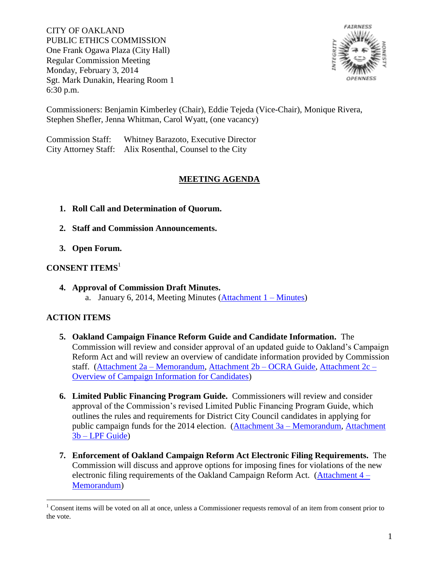CITY OF OAKLAND PUBLIC ETHICS COMMISSION One Frank Ogawa Plaza (City Hall) Regular Commission Meeting Monday, February 3, 2014 Sgt. Mark Dunakin, Hearing Room 1 6:30 p.m.



Commissioners: Benjamin Kimberley (Chair), Eddie Tejeda (Vice-Chair), Monique Rivera, Stephen Shefler, Jenna Whitman, Carol Wyatt, (one vacancy)

Commission Staff: Whitney Barazoto, Executive Director City Attorney Staff: Alix Rosenthal, Counsel to the City

## **MEETING AGENDA**

- **1. Roll Call and Determination of Quorum.**
- **2. Staff and Commission Announcements.**
- **3. Open Forum.**

## **CONSENT ITEMS**<sup>1</sup>

**4. Approval of Commission Draft Minutes.** a. January 6, 2014, Meeting Minutes (Attachment  $1 -$ Minutes)

## **ACTION ITEMS**

- **5. Oakland Campaign Finance Reform Guide and Candidate Information.** The Commission will review and consider approval of an updated guide to Oakland's Campaign Reform Act and will review an overview of candidate information provided by Commission staff. [\(Attachment 2a –](http://www2.oaklandnet.com/w/oak045166) Memorandum, [Attachment 2b –](http://www2.oaklandnet.com/w/oak045165) OCRA Guide, [Attachment 2c –](http://www2.oaklandnet.com/w/oak045167) [Overview of Campaign Information for Candidates\)](http://www2.oaklandnet.com/w/oak045167)
- **6. Limited Public Financing Program Guide.** Commissioners will review and consider approval of the Commission's revised Limited Public Financing Program Guide, which outlines the rules and requirements for District City Council candidates in applying for public campaign funds for the 2014 election. [\(Attachment 3a –](http://www2.oaklandnet.com/w/oak045168) Memorandum, [Attachment](http://www2.oaklandnet.com/w/oak045169)  3b – [LPF Guide\)](http://www2.oaklandnet.com/w/oak045169)
- **7. Enforcement of Oakland Campaign Reform Act Electronic Filing Requirements.** The Commission will discuss and approve options for imposing fines for violations of the new electronic filing requirements of the Oakland Campaign Reform Act. [\(Attachment 4 –](http://www2.oaklandnet.com/w/oak045170) [Memorandum\)](http://www2.oaklandnet.com/w/oak045170)

 $\overline{a}$  $1$  Consent items will be voted on all at once, unless a Commissioner requests removal of an item from consent prior to the vote.